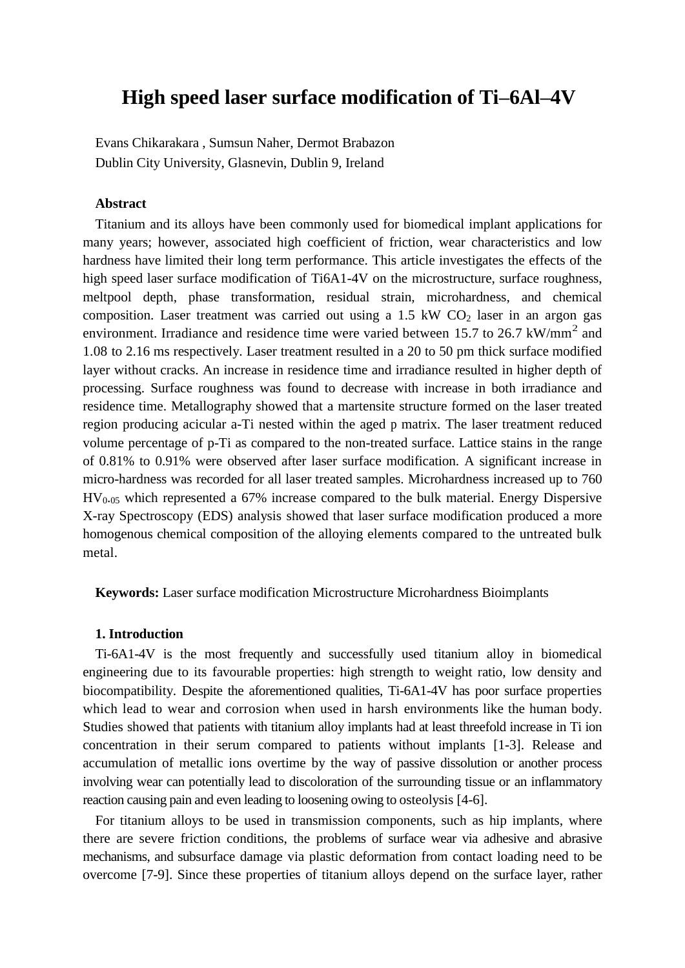# **High speed laser surface modification of Ti–6Al–4V**

Evans Chikarakara , Sumsun Naher, Dermot Brabazon Dublin City University, Glasnevin, Dublin 9, Ireland

# **Abstract**

Titanium and its alloys have been commonly used for biomedical implant applications for many years; however, associated high coefficient of friction, wear characteristics and low hardness have limited their long term performance. This article investigates the effects of the high speed laser surface modification of Ti6A1-4V on the microstructure, surface roughness, meltpool depth, phase transformation, residual strain, microhardness, and chemical composition. Laser treatment was carried out using a  $1.5 \text{ kW CO}_2$  laser in an argon gas environment. Irradiance and residence time were varied between 15.7 to 26.7  $kW/mm^2$  and 1.08 to 2.16 ms respectively. Laser treatment resulted in a 20 to 50 pm thick surface modified layer without cracks. An increase in residence time and irradiance resulted in higher depth of processing. Surface roughness was found to decrease with increase in both irradiance and residence time. Metallography showed that a martensite structure formed on the laser treated region producing acicular a-Ti nested within the aged p matrix. The laser treatment reduced volume percentage of p-Ti as compared to the non-treated surface. Lattice stains in the range of 0.81% to 0.91% were observed after laser surface modification. A significant increase in micro-hardness was recorded for all laser treated samples. Microhardness increased up to 760  $HV_{0.05}$  which represented a 67% increase compared to the bulk material. Energy Dispersive X-ray Spectroscopy (EDS) analysis showed that laser surface modification produced a more homogenous chemical composition of the alloying elements compared to the untreated bulk metal.

**Keywords:** Laser surface modification Microstructure Microhardness Bioimplants

# **1. Introduction**

Ti-6A1-4V is the most frequently and successfully used titanium alloy in biomedical engineering due to its favourable properties: high strength to weight ratio, low density and biocompatibility. Despite the aforementioned qualities, Ti-6A1-4V has poor surface properties which lead to wear and corrosion when used in harsh environments like the human body. Studies showed that patients with titanium alloy implants had at least threefold increase in Ti ion concentration in their serum compared to patients without implants [1-3]. Release and accumulation of metallic ions overtime by the way of passive dissolution or another process involving wear can potentially lead to discoloration of the surrounding tissue or an inflammatory reaction causing pain and even leading to loosening owing to osteolysis [4-6].

For titanium alloys to be used in transmission components, such as hip implants, where there are severe friction conditions, the problems of surface wear via adhesive and abrasive mechanisms, and subsurface damage via plastic deformation from contact loading need to be overcome [7-9]. Since these properties of titanium alloys depend on the surface layer, rather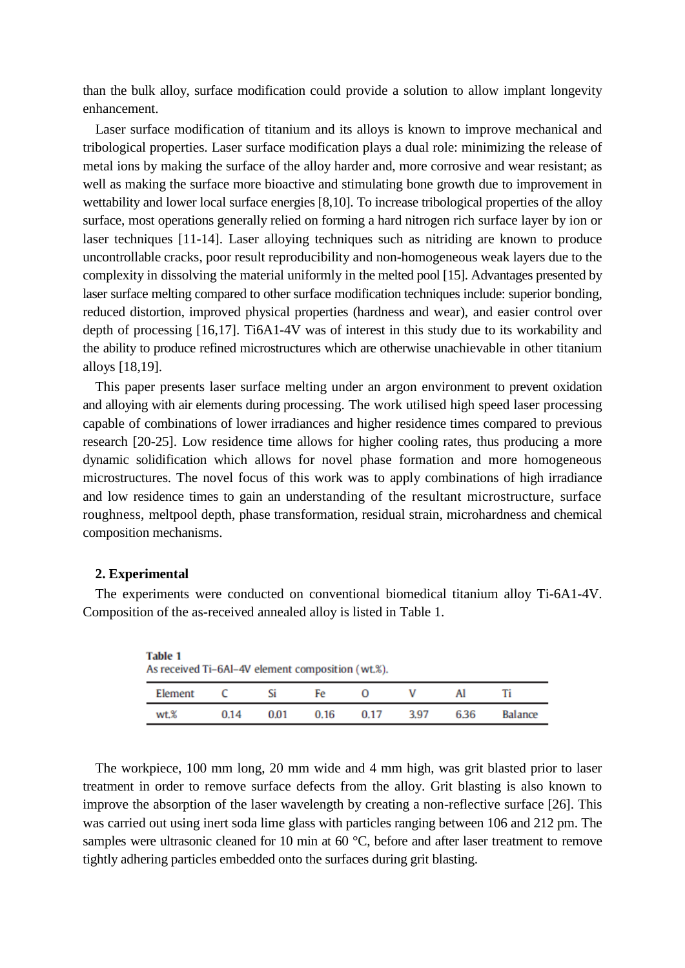than the bulk alloy, surface modification could provide a solution to allow implant longevity enhancement.

Laser surface modification of titanium and its alloys is known to improve mechanical and tribological properties. Laser surface modification plays a dual role: minimizing the release of metal ions by making the surface of the alloy harder and, more corrosive and wear resistant; as well as making the surface more bioactive and stimulating bone growth due to improvement in wettability and lower local surface energies [8,10]. To increase tribological properties of the alloy surface, most operations generally relied on forming a hard nitrogen rich surface layer by ion or laser techniques [11-14]. Laser alloying techniques such as nitriding are known to produce uncontrollable cracks, poor result reproducibility and non-homogeneous weak layers due to the complexity in dissolving the material uniformly in the melted pool [15]. Advantages presented by laser surface melting compared to other surface modification techniques include: superior bonding, reduced distortion, improved physical properties (hardness and wear), and easier control over depth of processing [16,17]. Ti6A1-4V was of interest in this study due to its workability and the ability to produce refined microstructures which are otherwise unachievable in other titanium alloys [18,19].

This paper presents laser surface melting under an argon environment to prevent oxidation and alloying with air elements during processing. The work utilised high speed laser processing capable of combinations of lower irradiances and higher residence times compared to previous research [20-25]. Low residence time allows for higher cooling rates, thus producing a more dynamic solidification which allows for novel phase formation and more homogeneous microstructures. The novel focus of this work was to apply combinations of high irradiance and low residence times to gain an understanding of the resultant microstructure, surface roughness, meltpool depth, phase transformation, residual strain, microhardness and chemical composition mechanisms.

# **2. Experimental**

| <b>Table 1</b><br>As received Ti-6Al-4V element composition (wt.%). |      |      |      |      |      |      |                |
|---------------------------------------------------------------------|------|------|------|------|------|------|----------------|
| Element                                                             |      | Si   | Fe   |      | ν    |      | Ti             |
| wt.%                                                                | 0.14 | 0.01 | 0.16 | 0.17 | 3.97 | 6.36 | <b>Balance</b> |

The experiments were conducted on conventional biomedical titanium alloy Ti-6A1-4V. Composition of the as-received annealed alloy is listed in Table 1.

The workpiece, 100 mm long, 20 mm wide and 4 mm high, was grit blasted prior to laser treatment in order to remove surface defects from the alloy. Grit blasting is also known to improve the absorption of the laser wavelength by creating a non-reflective surface [26]. This was carried out using inert soda lime glass with particles ranging between 106 and 212 pm. The samples were ultrasonic cleaned for 10 min at 60 °C, before and after laser treatment to remove tightly adhering particles embedded onto the surfaces during grit blasting.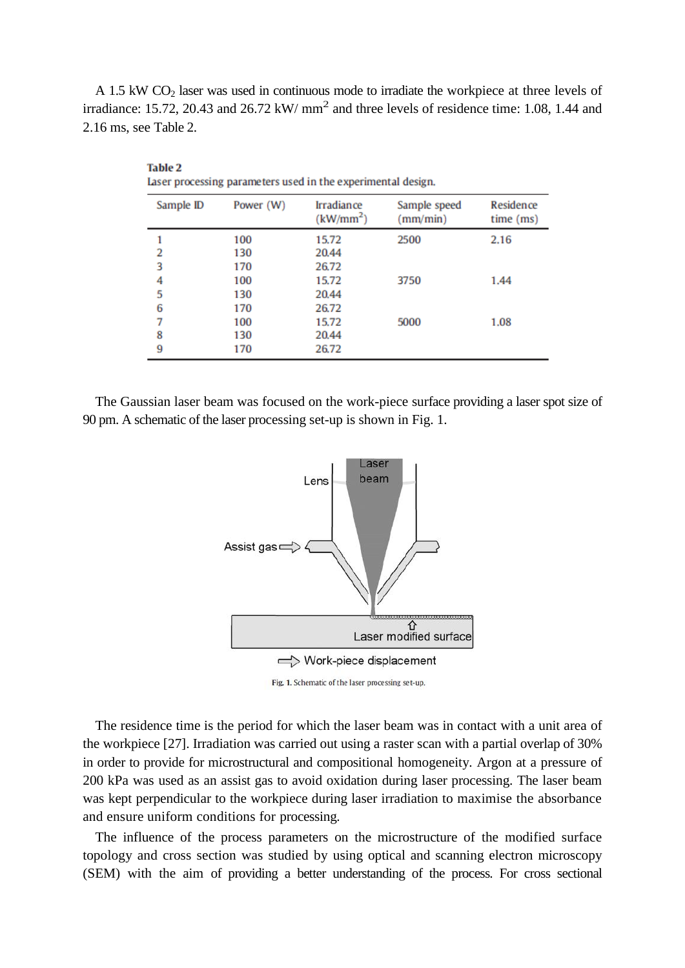A 1.5 kW  $CO<sub>2</sub>$  laser was used in continuous mode to irradiate the workpiece at three levels of irradiance: 15.72, 20.43 and 26.72 kW/  $mm<sup>2</sup>$  and three levels of residence time: 1.08, 1.44 and 2.16 ms, see Table 2.

| Sample ID | Power (W) | <b>Irradiance</b><br>(kW/mm <sup>2</sup> ) | Sample speed<br>mm/min) | Residence<br>time (ms) |
|-----------|-----------|--------------------------------------------|-------------------------|------------------------|
|           | 100       | 15.72                                      | 2500                    | 2.16                   |
| 2         | 130       | 20.44                                      |                         |                        |
| 3         | 170       | 26.72                                      |                         |                        |
| 4         | 100       | 15.72                                      | 3750                    | 1.44                   |
| 5         | 130       | 20.44                                      |                         |                        |
| 6         | 170       | 26.72                                      |                         |                        |
| 7         | 100       | 15.72                                      | 5000                    | 1.08                   |
| 8         | 130       | 20.44                                      |                         |                        |
| 9         | 170       | 26.72                                      |                         |                        |
|           |           |                                            |                         |                        |

**Table 2** Laser processing parameters used in the experimental design.

The Gaussian laser beam was focused on the work-piece surface providing a laser spot size of 90 pm. A schematic of the laser processing set-up is shown in Fig. 1.



Fig. 1. Schematic of the laser processing set-up.

The residence time is the period for which the laser beam was in contact with a unit area of the workpiece [27]. Irradiation was carried out using a raster scan with a partial overlap of 30% in order to provide for microstructural and compositional homogeneity. Argon at a pressure of 200 kPa was used as an assist gas to avoid oxidation during laser processing. The laser beam was kept perpendicular to the workpiece during laser irradiation to maximise the absorbance and ensure uniform conditions for processing.

The influence of the process parameters on the microstructure of the modified surface topology and cross section was studied by using optical and scanning electron microscopy (SEM) with the aim of providing a better understanding of the process. For cross sectional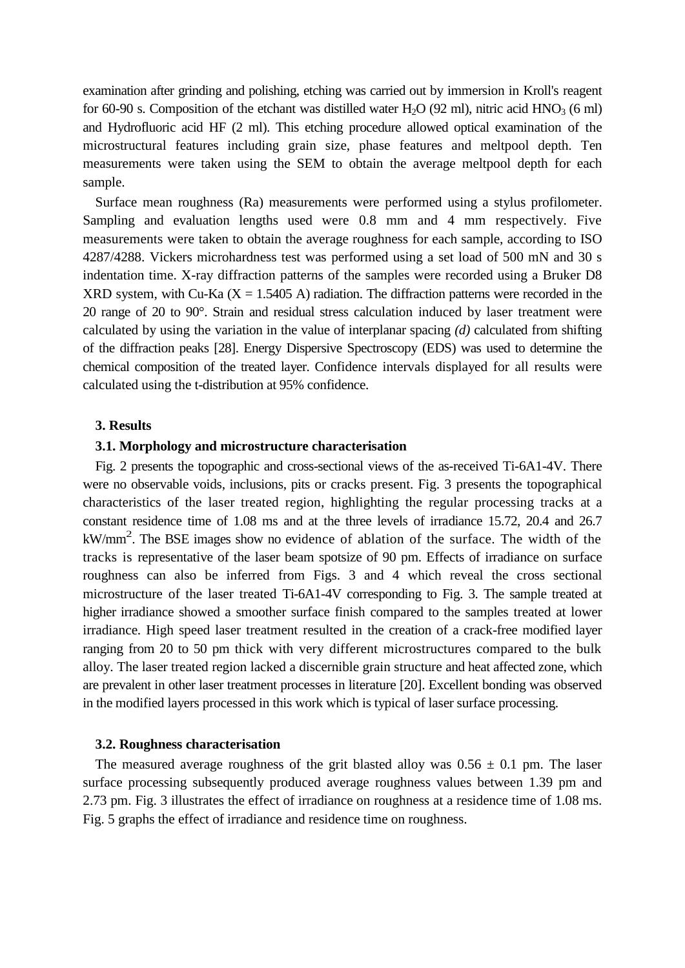examination after grinding and polishing, etching was carried out by immersion in Kroll's reagent for 60-90 s. Composition of the etchant was distilled water  $H_2O$  (92 ml), nitric acid  $HNO_3$  (6 ml) and Hydrofluoric acid HF (2 ml). This etching procedure allowed optical examination of the microstructural features including grain size, phase features and meltpool depth. Ten measurements were taken using the SEM to obtain the average meltpool depth for each sample.

Surface mean roughness (Ra) measurements were performed using a stylus profilometer. Sampling and evaluation lengths used were 0.8 mm and 4 mm respectively. Five measurements were taken to obtain the average roughness for each sample, according to ISO 4287/4288. Vickers microhardness test was performed using a set load of 500 mN and 30 s indentation time. X-ray diffraction patterns of the samples were recorded using a Bruker D8 XRD system, with Cu-Ka  $(X = 1.5405 A)$  radiation. The diffraction patterns were recorded in the 20 range of 20 to 90°. Strain and residual stress calculation induced by laser treatment were calculated by using the variation in the value of interplanar spacing *(d)* calculated from shifting of the diffraction peaks [28]. Energy Dispersive Spectroscopy (EDS) was used to determine the chemical composition of the treated layer. Confidence intervals displayed for all results were calculated using the t-distribution at 95% confidence.

#### **3. Results**

# **3.1. Morphology and microstructure characterisation**

Fig. 2 presents the topographic and cross-sectional views of the as-received Ti-6A1-4V. There were no observable voids, inclusions, pits or cracks present. Fig. 3 presents the topographical characteristics of the laser treated region, highlighting the regular processing tracks at a constant residence time of 1.08 ms and at the three levels of irradiance 15.72, 20.4 and 26.7 kW/mm<sup>2</sup>. The BSE images show no evidence of ablation of the surface. The width of the tracks is representative of the laser beam spotsize of 90 pm. Effects of irradiance on surface roughness can also be inferred from Figs. 3 and 4 which reveal the cross sectional microstructure of the laser treated Ti-6A1-4V corresponding to Fig. 3. The sample treated at higher irradiance showed a smoother surface finish compared to the samples treated at lower irradiance. High speed laser treatment resulted in the creation of a crack-free modified layer ranging from 20 to 50 pm thick with very different microstructures compared to the bulk alloy. The laser treated region lacked a discernible grain structure and heat affected zone, which are prevalent in other laser treatment processes in literature [20]. Excellent bonding was observed in the modified layers processed in this work which is typical of laser surface processing.

#### **3.2. Roughness characterisation**

The measured average roughness of the grit blasted alloy was  $0.56 \pm 0.1$  pm. The laser surface processing subsequently produced average roughness values between 1.39 pm and 2.73 pm. Fig. 3 illustrates the effect of irradiance on roughness at a residence time of 1.08 ms. Fig. 5 graphs the effect of irradiance and residence time on roughness.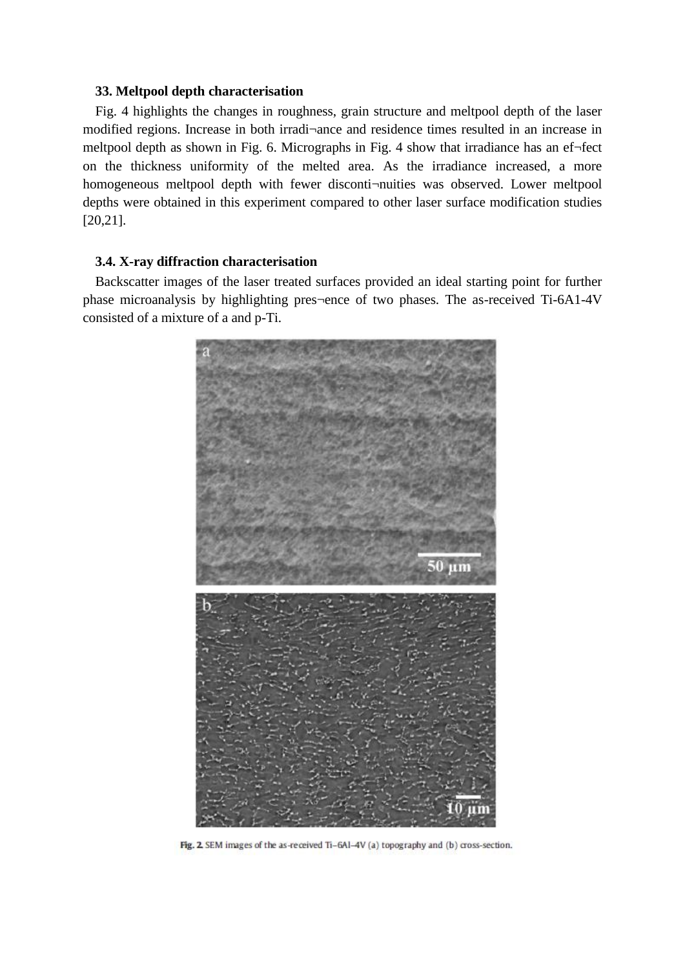# **33. Meltpool depth characterisation**

Fig. 4 highlights the changes in roughness, grain structure and meltpool depth of the laser modified regions. Increase in both irradi¬ance and residence times resulted in an increase in meltpool depth as shown in Fig. 6. Micrographs in Fig. 4 show that irradiance has an ef¬fect on the thickness uniformity of the melted area. As the irradiance increased, a more homogeneous meltpool depth with fewer disconti-nuities was observed. Lower meltpool depths were obtained in this experiment compared to other laser surface modification studies [20,21].

# **3.4. X-ray diffraction characterisation**

Backscatter images of the laser treated surfaces provided an ideal starting point for further phase microanalysis by highlighting pres¬ence of two phases. The as-received Ti-6A1-4V consisted of a mixture of a and p-Ti.



Fig. 2. SEM images of the as-received Ti-6Al-4V (a) topography and (b) cross-section.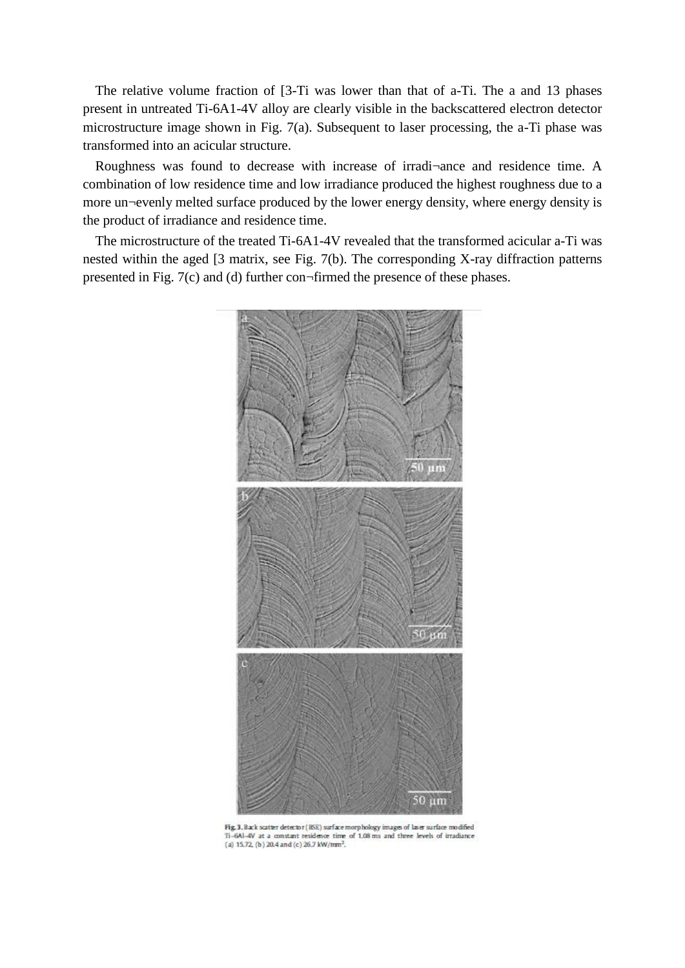The relative volume fraction of [3-Ti was lower than that of a-Ti. The a and 13 phases present in untreated Ti-6A1-4V alloy are clearly visible in the backscattered electron detector microstructure image shown in Fig. 7(a). Subsequent to laser processing, the a-Ti phase was transformed into an acicular structure.

Roughness was found to decrease with increase of irradi¬ance and residence time. A combination of low residence time and low irradiance produced the highest roughness due to a more un¬evenly melted surface produced by the lower energy density, where energy density is the product of irradiance and residence time.

The microstructure of the treated Ti-6A1-4V revealed that the transformed acicular a-Ti was nested within the aged [3 matrix, see Fig. 7(b). The corresponding X-ray diffraction patterns presented in Fig. 7(c) and (d) further con¬firmed the presence of these phases.



Fig. 3. Back scatter detector (RSE) surface morphology images of laser surface modified Ti-6Al-4V at a constant residence time of 1.08 ms and three levels of irradiance (a) 15.72, (b) 20.4 and (c) 26.7 kW/mm<sup>2</sup>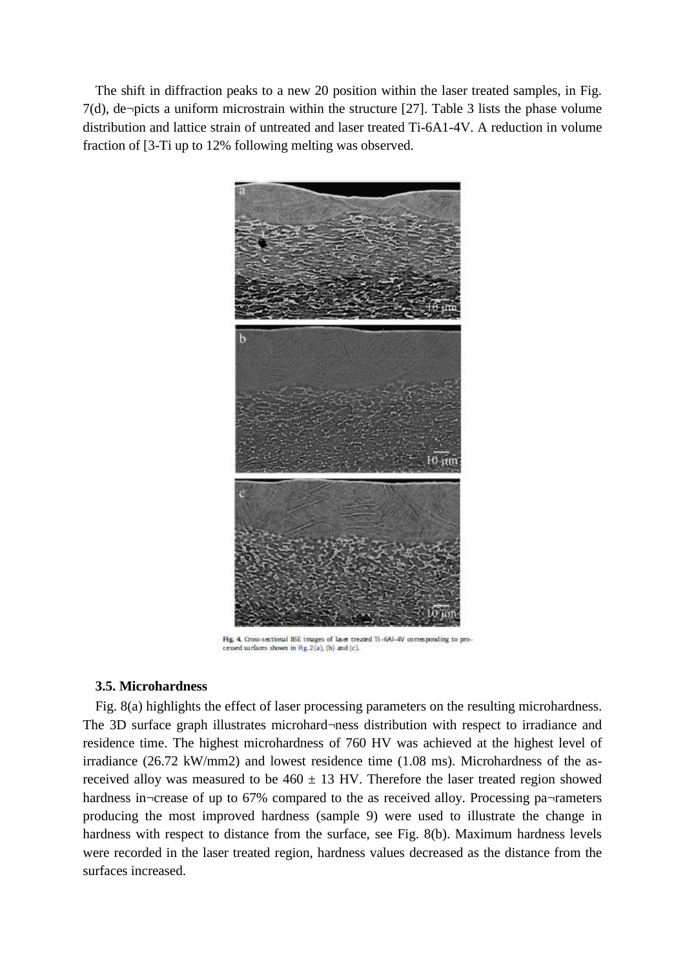The shift in diffraction peaks to a new 20 position within the laser treated samples, in Fig. 7(d), de¬picts a uniform microstrain within the structure [27]. Table 3 lists the phase volume distribution and lattice strain of untreated and laser treated Ti-6A1-4V. A reduction in volume fraction of [3-Ti up to 12% following melting was observed.



Fig. 4. Cross-sectional RSE images of laser treated Ti-6Al-4V corresponding to processed surfaces shown in Fig. 2(a), (b) and (c).

# **3.5. Microhardness**

Fig. 8(a) highlights the effect of laser processing parameters on the resulting microhardness. The 3D surface graph illustrates microhard¬ness distribution with respect to irradiance and residence time. The highest microhardness of 760 HV was achieved at the highest level of irradiance (26.72 kW/mm2) and lowest residence time (1.08 ms). Microhardness of the asreceived alloy was measured to be  $460 \pm 13$  HV. Therefore the laser treated region showed hardness in¬crease of up to 67% compared to the as received alloy. Processing pa¬rameters producing the most improved hardness (sample 9) were used to illustrate the change in hardness with respect to distance from the surface, see Fig. 8(b). Maximum hardness levels were recorded in the laser treated region, hardness values decreased as the distance from the surfaces increased.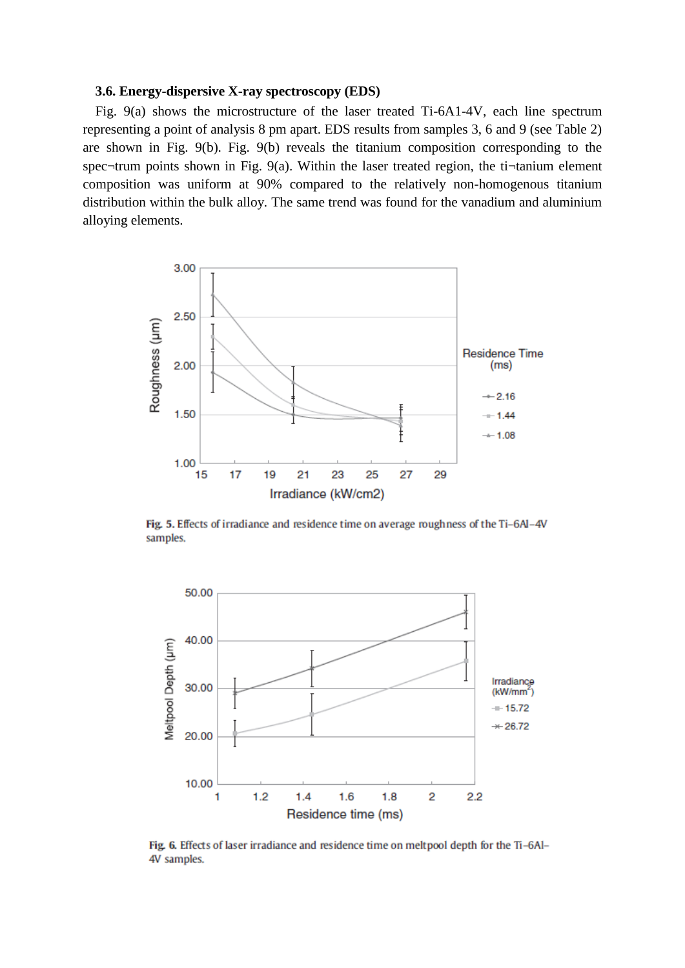#### **3.6. Energy-dispersive X-ray spectroscopy (EDS)**

Fig. 9(a) shows the microstructure of the laser treated Ti-6A1-4V, each line spectrum representing a point of analysis 8 pm apart. EDS results from samples 3, 6 and 9 (see Table 2) are shown in Fig. 9(b). Fig. 9(b) reveals the titanium composition corresponding to the spec¬trum points shown in Fig. 9(a). Within the laser treated region, the ti¬tanium element composition was uniform at 90% compared to the relatively non-homogenous titanium distribution within the bulk alloy. The same trend was found for the vanadium and aluminium alloying elements.



Fig. 5. Effects of irradiance and residence time on average roughness of the Ti-6Al-4V samples.



Fig. 6. Effects of laser irradiance and residence time on meltpool depth for the Ti-6Al-4V samples.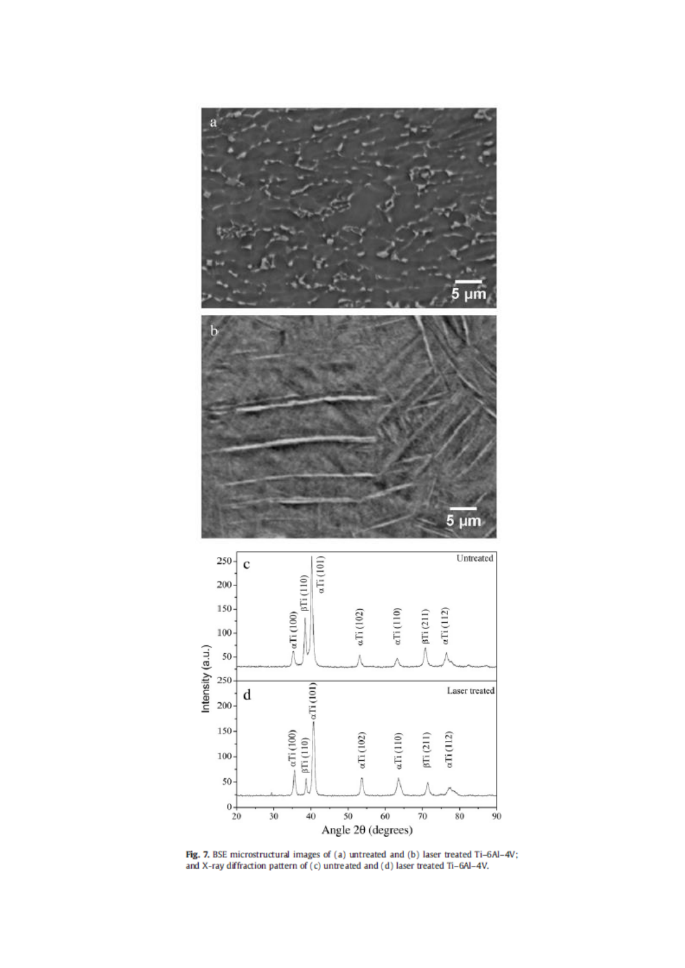

Fig. 7. BSE microstructural images of (a) untreated and (b) laser treated Ti-6Al-4V; and X-ray diffraction pattern of (c) untreated and (d) laser treated Ti-6Al-4V.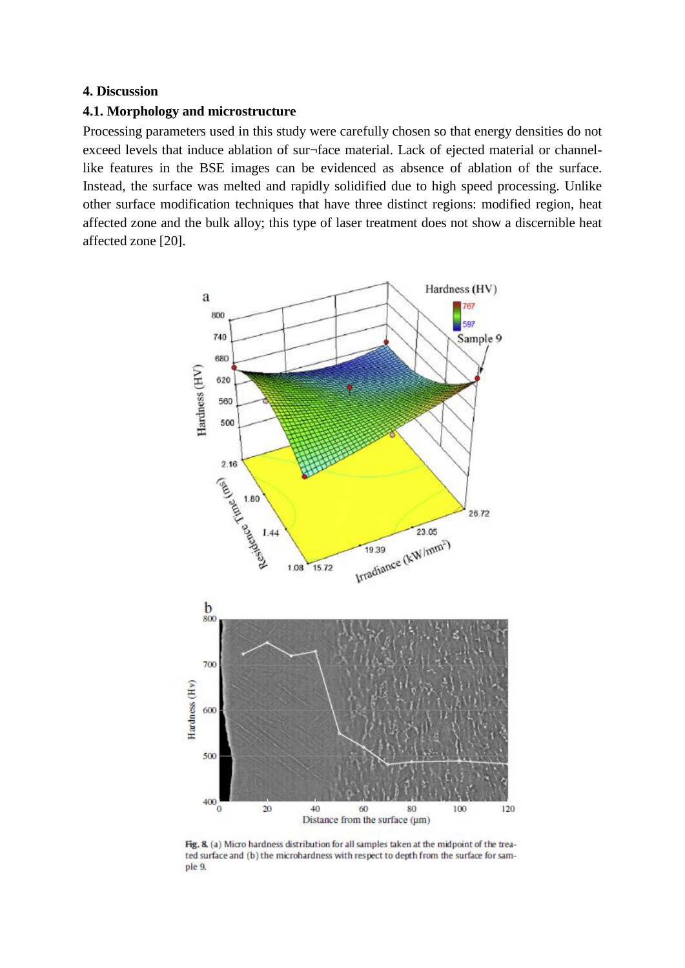# **4. Discussion**

# **4.1. Morphology and microstructure**

Processing parameters used in this study were carefully chosen so that energy densities do not exceed levels that induce ablation of sur¬face material. Lack of ejected material or channellike features in the BSE images can be evidenced as absence of ablation of the surface. Instead, the surface was melted and rapidly solidified due to high speed processing. Unlike other surface modification techniques that have three distinct regions: modified region, heat affected zone and the bulk alloy; this type of laser treatment does not show a discernible heat affected zone [20].



Fig. 8. (a) Micro hardness distribution for all samples taken at the midpoint of the treated surface and (b) the microhardness with respect to depth from the surface for sample 9.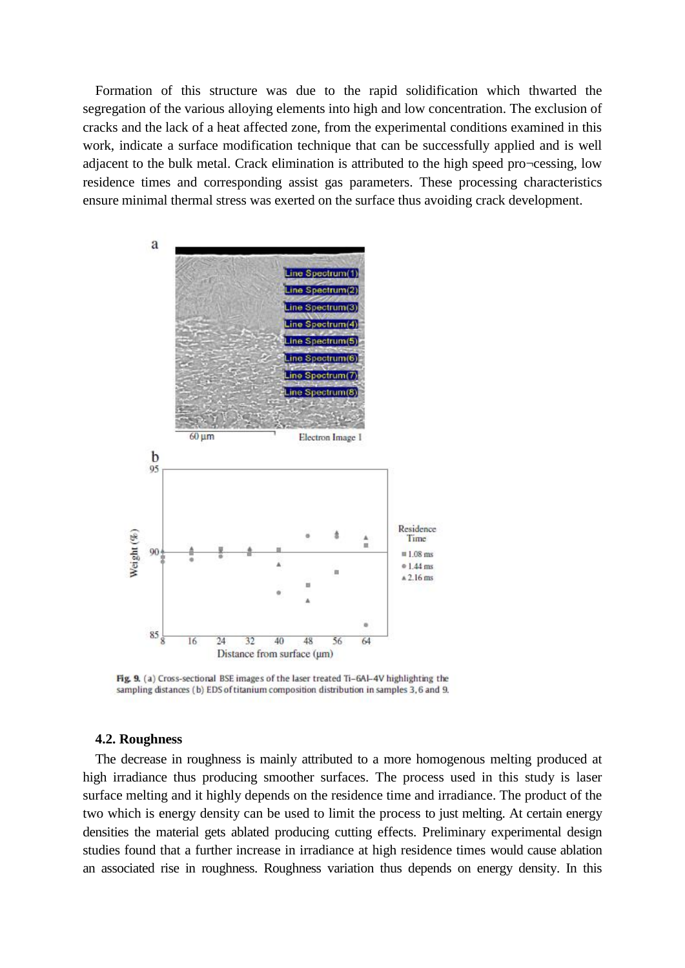Formation of this structure was due to the rapid solidification which thwarted the segregation of the various alloying elements into high and low concentration. The exclusion of cracks and the lack of a heat affected zone, from the experimental conditions examined in this work, indicate a surface modification technique that can be successfully applied and is well adjacent to the bulk metal. Crack elimination is attributed to the high speed pro¬cessing, low residence times and corresponding assist gas parameters. These processing characteristics ensure minimal thermal stress was exerted on the surface thus avoiding crack development.



Fig. 9. (a) Cross-sectional BSE images of the laser treated Ti-6Al-4V highlighting the sampling distances (b) EDS of titanium composition distribution in samples 3,6 and 9.

#### **4.2. Roughness**

The decrease in roughness is mainly attributed to a more homogenous melting produced at high irradiance thus producing smoother surfaces. The process used in this study is laser surface melting and it highly depends on the residence time and irradiance. The product of the two which is energy density can be used to limit the process to just melting. At certain energy densities the material gets ablated producing cutting effects. Preliminary experimental design studies found that a further increase in irradiance at high residence times would cause ablation an associated rise in roughness. Roughness variation thus depends on energy density. In this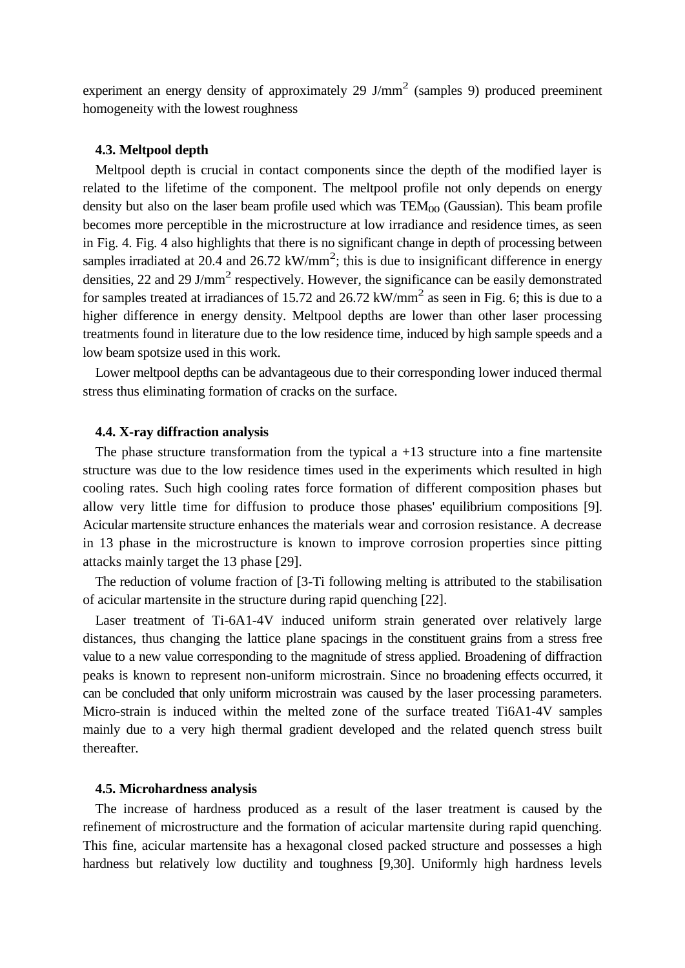experiment an energy density of approximately 29  $J/mm^2$  (samples 9) produced preeminent homogeneity with the lowest roughness

#### **4.3. Meltpool depth**

Meltpool depth is crucial in contact components since the depth of the modified layer is related to the lifetime of the component. The meltpool profile not only depends on energy density but also on the laser beam profile used which was  $TEM_{00}$  (Gaussian). This beam profile becomes more perceptible in the microstructure at low irradiance and residence times, as seen in Fig. 4. Fig. 4 also highlights that there is no significant change in depth of processing between samples irradiated at 20.4 and 26.72  $kW/mm^2$ ; this is due to insignificant difference in energy densities, 22 and 29 J/mm<sup>2</sup> respectively. However, the significance can be easily demonstrated for samples treated at irradiances of 15.72 and 26.72  $kW/mm^2$  as seen in Fig. 6; this is due to a higher difference in energy density. Meltpool depths are lower than other laser processing treatments found in literature due to the low residence time, induced by high sample speeds and a low beam spotsize used in this work.

Lower meltpool depths can be advantageous due to their corresponding lower induced thermal stress thus eliminating formation of cracks on the surface.

#### **4.4. X-ray diffraction analysis**

The phase structure transformation from the typical  $a + 13$  structure into a fine martensite structure was due to the low residence times used in the experiments which resulted in high cooling rates. Such high cooling rates force formation of different composition phases but allow very little time for diffusion to produce those phases' equilibrium compositions [9]. Acicular martensite structure enhances the materials wear and corrosion resistance. A decrease in 13 phase in the microstructure is known to improve corrosion properties since pitting attacks mainly target the 13 phase [29].

The reduction of volume fraction of [3-Ti following melting is attributed to the stabilisation of acicular martensite in the structure during rapid quenching [22].

Laser treatment of Ti-6A1-4V induced uniform strain generated over relatively large distances, thus changing the lattice plane spacings in the constituent grains from a stress free value to a new value corresponding to the magnitude of stress applied. Broadening of diffraction peaks is known to represent non-uniform microstrain. Since no broadening effects occurred, it can be concluded that only uniform microstrain was caused by the laser processing parameters. Micro-strain is induced within the melted zone of the surface treated Ti6A1-4V samples mainly due to a very high thermal gradient developed and the related quench stress built thereafter.

# **4.5. Microhardness analysis**

The increase of hardness produced as a result of the laser treatment is caused by the refinement of microstructure and the formation of acicular martensite during rapid quenching. This fine, acicular martensite has a hexagonal closed packed structure and possesses a high hardness but relatively low ductility and toughness [9,30]. Uniformly high hardness levels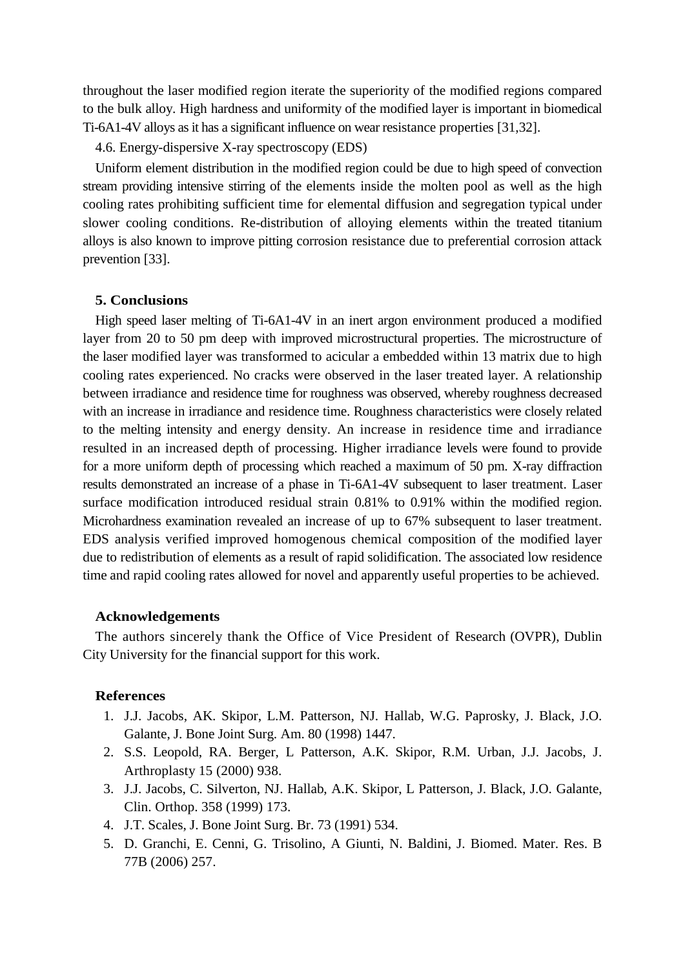throughout the laser modified region iterate the superiority of the modified regions compared to the bulk alloy. High hardness and uniformity of the modified layer is important in biomedical Ti-6A1-4V alloys as it has a significant influence on wear resistance properties [31,32].

4.6. Energy-dispersive X-ray spectroscopy (EDS)

Uniform element distribution in the modified region could be due to high speed of convection stream providing intensive stirring of the elements inside the molten pool as well as the high cooling rates prohibiting sufficient time for elemental diffusion and segregation typical under slower cooling conditions. Re-distribution of alloying elements within the treated titanium alloys is also known to improve pitting corrosion resistance due to preferential corrosion attack prevention [33].

# **5. Conclusions**

High speed laser melting of Ti-6A1-4V in an inert argon environment produced a modified layer from 20 to 50 pm deep with improved microstructural properties. The microstructure of the laser modified layer was transformed to acicular a embedded within 13 matrix due to high cooling rates experienced. No cracks were observed in the laser treated layer. A relationship between irradiance and residence time for roughness was observed, whereby roughness decreased with an increase in irradiance and residence time. Roughness characteristics were closely related to the melting intensity and energy density. An increase in residence time and irradiance resulted in an increased depth of processing. Higher irradiance levels were found to provide for a more uniform depth of processing which reached a maximum of 50 pm. X-ray diffraction results demonstrated an increase of a phase in Ti-6A1-4V subsequent to laser treatment. Laser surface modification introduced residual strain 0.81% to 0.91% within the modified region. Microhardness examination revealed an increase of up to 67% subsequent to laser treatment. EDS analysis verified improved homogenous chemical composition of the modified layer due to redistribution of elements as a result of rapid solidification. The associated low residence time and rapid cooling rates allowed for novel and apparently useful properties to be achieved.

# **Acknowledgements**

The authors sincerely thank the Office of Vice President of Research (OVPR), Dublin City University for the financial support for this work.

# **References**

- 1. J.J. Jacobs, AK. Skipor, L.M. Patterson, NJ. Hallab, W.G. Paprosky, J. Black, J.O. Galante, J. Bone Joint Surg. Am. 80 (1998) 1447.
- 2. S.S. Leopold, RA. Berger, L Patterson, A.K. Skipor, R.M. Urban, J.J. Jacobs, J. Arthroplasty 15 (2000) 938.
- 3. J.J. Jacobs, C. Silverton, NJ. Hallab, A.K. Skipor, L Patterson, J. Black, J.O. Galante, Clin. Orthop. 358 (1999) 173.
- 4. J.T. Scales, J. Bone Joint Surg. Br. 73 (1991) 534.
- 5. D. Granchi, E. Cenni, G. Trisolino, A Giunti, N. Baldini, J. Biomed. Mater. Res. B 77B (2006) 257.